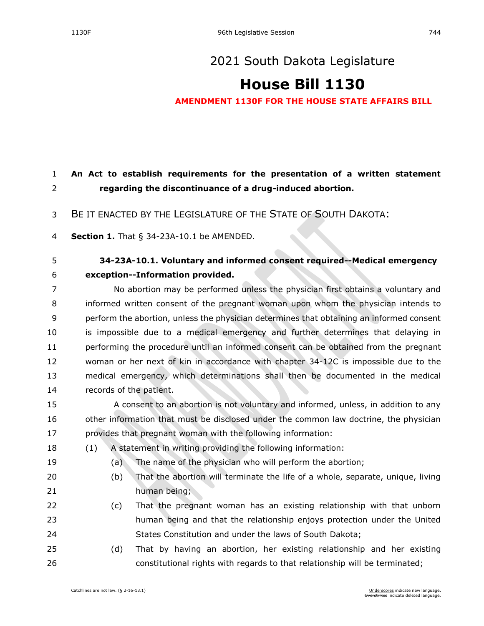## **[House Bill 1130](https://sdlegislature.gov/Session/Bill/21932)**

**AMENDMENT 1130F FOR THE HOUSE STATE AFFAIRS BILL**

## **An Act to establish requirements for the presentation of a written statement regarding the discontinuance of a drug-induced abortion.**

BE IT ENACTED BY THE LEGISLATURE OF THE STATE OF SOUTH DAKOTA:

**Section 1.** [That § 34-23A-10.1 be AMENDED.](https://sdlegislature.gov/Statutes/Codified_Laws/DisplayStatute.aspx?Type=Statute&Statute=34-23A-10.1)

## **[34-23A-10.1. V](https://sdlegislature.gov/Statutes/Codified_Laws/DisplayStatute.aspx?Type=Statute&Statute=34-23A-10.1)oluntary and informed consent required--Medical emergency exception--Information provided.**

 No abortion may be performed unless the physician first obtains a voluntary and informed written consent of the pregnant woman upon whom the physician intends to perform the abortion, unless the physician determines that obtaining an informed consent is impossible due to a medical emergency and further determines that delaying in 11 performing the procedure until an informed consent can be obtained from the pregnant woman or her next of kin in accordance with chapter [34-12C](https://sdlegislature.gov/Statutes/Codified_Laws/DisplayStatute.aspx?Type=Statute&Statute=34-12C) is impossible due to the medical emergency, which determinations shall then be documented in the medical records of the patient.

15 A consent to an abortion is not voluntary and informed, unless, in addition to any 16 other information that must be disclosed under the common law doctrine, the physician provides that pregnant woman with the following information:

- (1) A statement in writing providing the following information:
- (a) The name of the physician who will perform the abortion;
- 
- (b) That the abortion will terminate the life of a whole, separate, unique, living
- human being;
- (c) That the pregnant woman has an existing relationship with that unborn human being and that the relationship enjoys protection under the United States Constitution and under the laws of South Dakota;
- (d) That by having an abortion, her existing relationship and her existing constitutional rights with regards to that relationship will be terminated;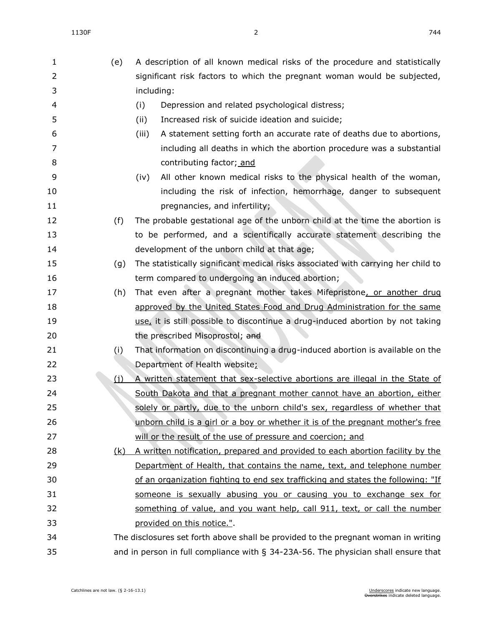| 1              | (e)        | A description of all known medical risks of the procedure and statistically        |
|----------------|------------|------------------------------------------------------------------------------------|
| $\overline{2}$ |            | significant risk factors to which the pregnant woman would be subjected,           |
| 3              |            | including:                                                                         |
| 4              |            | (i)<br>Depression and related psychological distress;                              |
| 5              |            | (ii)<br>Increased risk of suicide ideation and suicide;                            |
| 6              |            | A statement setting forth an accurate rate of deaths due to abortions,<br>(iii)    |
| 7              |            | including all deaths in which the abortion procedure was a substantial             |
| 8              |            | contributing factor; and                                                           |
| 9              |            | All other known medical risks to the physical health of the woman,<br>(iv)         |
| 10             |            | including the risk of infection, hemorrhage, danger to subsequent                  |
| 11             |            | pregnancies, and infertility;                                                      |
| 12             | (f)        | The probable gestational age of the unborn child at the time the abortion is       |
| 13             |            | to be performed, and a scientifically accurate statement describing the            |
| 14             |            | development of the unborn child at that age;                                       |
| 15             | (g)        | The statistically significant medical risks associated with carrying her child to  |
| 16             |            | term compared to undergoing an induced abortion;                                   |
| 17             | (h)        | That even after a pregnant mother takes Mifepristone, or another drug              |
| 18             |            | approved by the United States Food and Drug Administration for the same            |
| 19             |            | use, it is still possible to discontinue a drug-induced abortion by not taking     |
| 20             |            | the prescribed Misoprostol; and                                                    |
| 21             | (i)        | That information on discontinuing a drug-induced abortion is available on the      |
| 22             |            | Department of Health website:                                                      |
| 23             | <u>(i)</u> | A written statement that sex-selective abortions are illegal in the State of       |
| 24             |            | South Dakota and that a pregnant mother cannot have an abortion, either            |
| 25             |            | solely or partly, due to the unborn child's sex, regardless of whether that        |
| 26             |            | unborn child is a girl or a boy or whether it is of the pregnant mother's free     |
| 27             |            | will or the result of the use of pressure and coercion; and                        |
| 28             | (k)        | A written notification, prepared and provided to each abortion facility by the     |
| 29             |            | Department of Health, that contains the name, text, and telephone number           |
| 30             |            | of an organization fighting to end sex trafficking and states the following: "If   |
| 31             |            | someone is sexually abusing you or causing you to exchange sex for                 |
| 32             |            | something of value, and you want help, call 911, text, or call the number          |
| 33             |            | provided on this notice.".                                                         |
| 34             |            | The disclosures set forth above shall be provided to the pregnant woman in writing |
| 35             |            | and in person in full compliance with § 34-23A-56. The physician shall ensure that |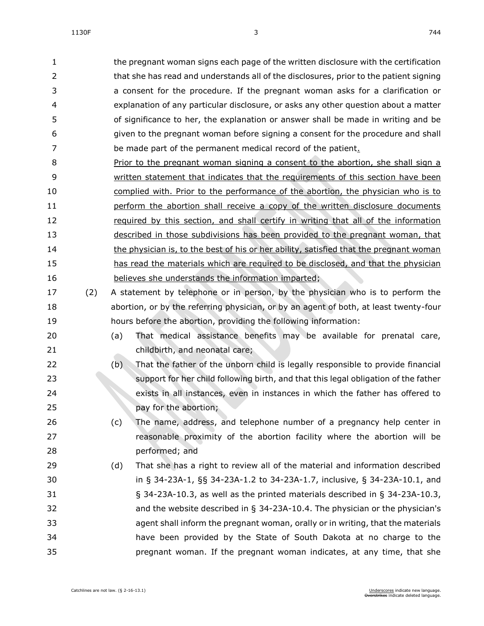1130F 3 744

 the pregnant woman signs each page of the written disclosure with the certification that she has read and understands all of the disclosures, prior to the patient signing a consent for the procedure. If the pregnant woman asks for a clarification or explanation of any particular disclosure, or asks any other question about a matter of significance to her, the explanation or answer shall be made in writing and be given to the pregnant woman before signing a consent for the procedure and shall be made part of the permanent medical record of the patient.

 Prior to the pregnant woman signing a consent to the abortion, she shall sign a written statement that indicates that the requirements of this section have been complied with. Prior to the performance of the abortion, the physician who is to perform the abortion shall receive a copy of the written disclosure documents required by this section, and shall certify in writing that all of the information described in those subdivisions has been provided to the pregnant woman, that 14 the physician is, to the best of his or her ability, satisfied that the pregnant woman has read the materials which are required to be disclosed, and that the physician 16 believes she understands the information imparted;

- (2) A statement by telephone or in person, by the physician who is to perform the abortion, or by the referring physician, or by an agent of both, at least twenty-four hours before the abortion, providing the following information:
- (a) That medical assistance benefits may be available for prenatal care, childbirth, and neonatal care;
- (b) That the father of the unborn child is legally responsible to provide financial support for her child following birth, and that this legal obligation of the father exists in all instances, even in instances in which the father has offered to **pay for the abortion;**
- (c) The name, address, and telephone number of a pregnancy help center in **reasonable proximity of the abortion facility where the abortion will be** performed; and
- (d) That she has a right to review all of the material and information described in § [34-23A-1,](https://sdlegislature.gov/Statutes/Codified_Laws/DisplayStatute.aspx?Type=Statute&Statute=34-23A-1) §§ [34-23A-1.2](https://sdlegislature.gov/Statutes/Codified_Laws/DisplayStatute.aspx?Type=Statute&Statute=34-23A-1.2) to [34-23A-1.7,](https://sdlegislature.gov/Statutes/Codified_Laws/DisplayStatute.aspx?Type=Statute&Statute=34-23A-1.7) inclusive, § [34-23A-10.1,](https://sdlegislature.gov/Statutes/Codified_Laws/DisplayStatute.aspx?Type=Statute&Statute=34-23A-10.1) and § [34-23A-10.3,](https://sdlegislature.gov/Statutes/Codified_Laws/DisplayStatute.aspx?Type=Statute&Statute=34-23A-10.3) as well as the printed materials described in § [34-23A-10.3,](https://sdlegislature.gov/Statutes/Codified_Laws/DisplayStatute.aspx?Type=Statute&Statute=34-23A-10.3) and the website described in § [34-23A-10.4.](https://sdlegislature.gov/Statutes/Codified_Laws/DisplayStatute.aspx?Type=Statute&Statute=34-23A-10.4) The physician or the physician's agent shall inform the pregnant woman, orally or in writing, that the materials have been provided by the State of South Dakota at no charge to the pregnant woman. If the pregnant woman indicates, at any time, that she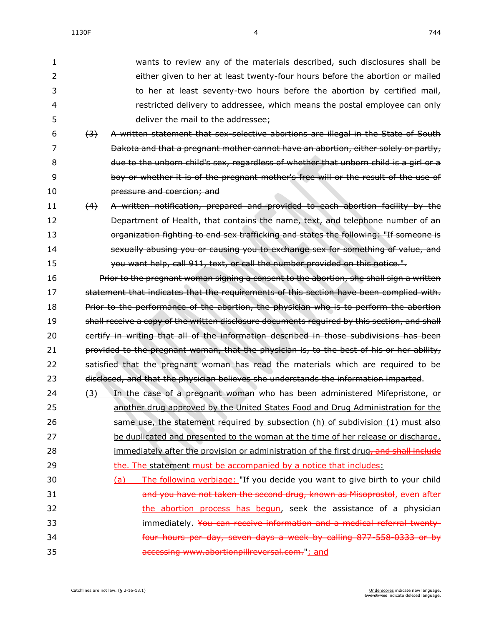F 744

 wants to review any of the materials described, such disclosures shall be either given to her at least twenty-four hours before the abortion or mailed to her at least seventy-two hours before the abortion by certified mail, restricted delivery to addressee, which means the postal employee can only 5 deliver the mail to the addressee;

 (3) A written statement that sex-selective abortions are illegal in the State of South **Dakota and that a pregnant mother cannot have an abortion, either solely or partly,** 8 due to the unborn child's sex, regardless of whether that unborn child is a girl or a boy or whether it is of the pregnant mother's free will or the result of the use of pressure and coercion; and

 (4) A written notification, prepared and provided to each abortion facility by the **Department of Health, that contains the name, text, and telephone number of an organization fighting to end sex trafficking and states the following: "If someone is** 14 sexually abusing you or causing you to exchange sex for something of value, and 15 you want help, call 911, text, or call the number provided on this notice.".

16 Prior to the pregnant woman signing a consent to the abortion, she shall sign a written 17 statement that indicates that the requirements of this section have been complied with. 18 Prior to the performance of the abortion, the physician who is to perform the abortion 19 shall receive a copy of the written disclosure documents required by this section, and shall 20 certify in writing that all of the information described in those subdivisions has been 21 provided to the pregnant woman, that the physician is, to the best of his or her ability, satisfied that the pregnant woman has read the materials which are required to be 23 disclosed, and that the physician believes she understands the information imparted.

- (3) In the case of a pregnant woman who has been administered Mifepristone, or another drug approved by the United States Food and Drug Administration for the same use, the statement required by subsection (h) of subdivision (1) must also be duplicated and presented to the woman at the time of her release or discharge, 28 immediately after the provision or administration of the first drug, and shall include 29 the. The statement must be accompanied by a notice that includes:
- (a) The following verbiage: "If you decide you want to give birth to your child **and you have not taken the second drug, known as Misoprostol**, even after the abortion process has begun, seek the assistance of a physician **immediately.** You can receive information and a medical referral twenty- four hours per day, seven days a week by calling 877-558-0333 or by accessing www.abortionpillreversal.com."; and